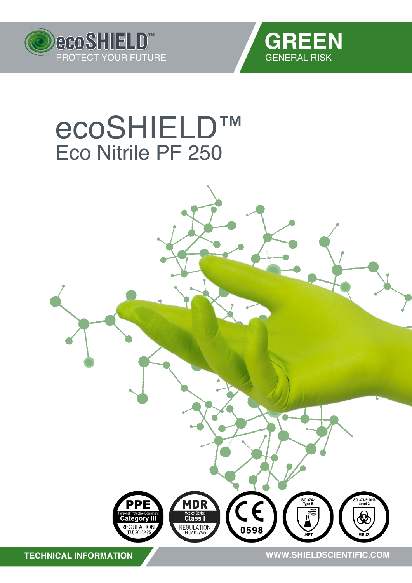



## **eCOSHIELD™**<br>Eco Nitrile PF 250

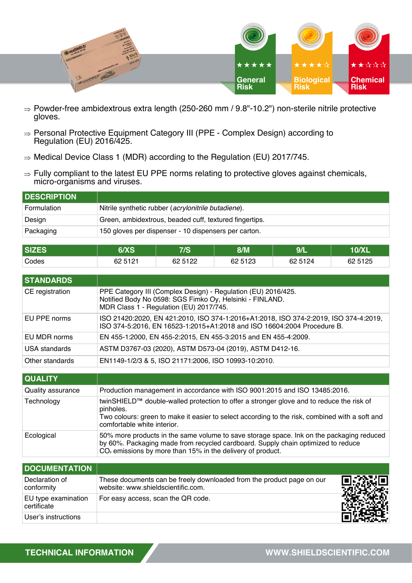

- $\Rightarrow$  Powder-free ambidextrous extra length (250-260 mm / 9.8"-10.2") non-sterile nitrile protective gloves.
- $\Rightarrow$  Personal Protective Equipment Category III (PPE Complex Design) according to Regulation (EU) 2016/425.
- $\Rightarrow$  Medical Device Class 1 (MDR) according to the Regulation (EU) 2017/745.
- $\Rightarrow$  Fully compliant to the latest EU PPE norms relating to protective gloves against chemicals, micro-organisms and viruses.

| <b>DESCRIPTION</b> |                                                        |
|--------------------|--------------------------------------------------------|
| Formulation        | Nitrile synthetic rubber (acrylonitrile butadiene).    |
| Design             | Green, ambidextrous, beaded cuff, textured fingertips. |
| Packaging          | 150 gloves per dispenser - 10 dispensers per carton.   |

| <b>SIZES</b> | 6/XS    | 7/S     | 8/M      | 9/   | 10/XL   |
|--------------|---------|---------|----------|------|---------|
| Codes        | 62 5121 | 62 5122 | 62 51 23 | 5124 | 62 5125 |

| <b>STANDARDS</b> |                                                                                                                                                                      |
|------------------|----------------------------------------------------------------------------------------------------------------------------------------------------------------------|
| CE registration  | PPE Category III (Complex Design) - Regulation (EU) 2016/425.<br>Notified Body No 0598: SGS Fimko Oy, Helsinki - FINLAND.<br>MDR Class 1 - Regulation (EU) 2017/745. |
| EU PPE norms     | ISO 21420:2020, EN 421:2010, ISO 374-1:2016+A1:2018, ISO 374-2:2019, ISO 374-4:2019,<br>ISO 374-5:2016, EN 16523-1:2015+A1:2018 and ISO 16604:2004 Procedure B.      |
| EU MDR norms     | EN 455-1:2000, EN 455-2:2015, EN 455-3:2015 and EN 455-4:2009.                                                                                                       |
| USA standards    | ASTM D3767-03 (2020), ASTM D573-04 (2019), ASTM D412-16.                                                                                                             |
| Other standards  | EN1149-1/2/3 & 5, ISO 21171:2006, ISO 10993-10:2010.                                                                                                                 |

| <b>QUALITY</b>    |                                                                                                                                                                                                                                              |
|-------------------|----------------------------------------------------------------------------------------------------------------------------------------------------------------------------------------------------------------------------------------------|
| Quality assurance | Production management in accordance with ISO 9001:2015 and ISO 13485:2016.                                                                                                                                                                   |
| Technology        | twinSHIELD™ double-walled protection to offer a stronger glove and to reduce the risk of<br>pinholes.<br>Two colours: green to make it easier to select according to the risk, combined with a soft and<br>comfortable white interior.       |
| Ecological        | 50% more products in the same volume to save storage space. Ink on the packaging reduced<br>by 60%. Packaging made from recycled cardboard. Supply chain optimized to reduce<br>$CO2$ emissions by more than 15% in the delivery of product. |

| <b>DOCUMENTATION</b>               |                                                                                                             |  |
|------------------------------------|-------------------------------------------------------------------------------------------------------------|--|
| Declaration of<br>conformity       | These documents can be freely downloaded from the product page on our<br>website: www.shieldscientific.com. |  |
| EU type examination<br>certificate | For easy access, scan the QR code.                                                                          |  |
| User's instructions                |                                                                                                             |  |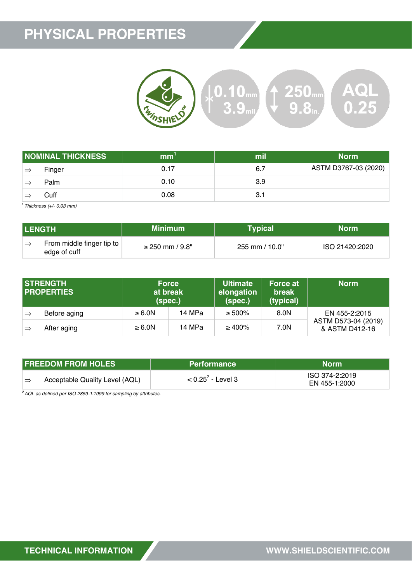## **PHYSICAL PROPERTIES**



|    | <b>NOMINAL THICKNESS</b> | mm   | mil | <b>Norm</b>          |
|----|--------------------------|------|-----|----------------------|
| ∣⇒ | Finger                   | 0.17 | 6.7 | ASTM D3767-03 (2020) |
| =  | Palm                     | 0.10 | 3.9 |                      |
|    | Cuff                     | 0.08 | 3.1 |                      |

*<sup>1</sup>Thickness (+/- 0.03 mm)*

| <b>LENGTH</b>                                     | <b>Minimum</b>       | Typical                   | Norm           |
|---------------------------------------------------|----------------------|---------------------------|----------------|
| From middle finger tip to<br>. =≥<br>edge of cuff | $\geq$ 250 mm / 9.8" | $255 \text{ mm} / 10.0$ " | ISO 21420:2020 |

|               | <b>STRENGTH</b><br><b>PROPERTIES</b> | (spec.)     | <b>Force</b><br>at break | <b>Ultimate</b><br>elongation<br>(spec.) | <b>Force at</b><br>break<br>(typical) | <b>Norm</b>                           |
|---------------|--------------------------------------|-------------|--------------------------|------------------------------------------|---------------------------------------|---------------------------------------|
| $\Rightarrow$ | Before aging                         | $\geq 6.0N$ | 14 MPa                   | $\geq 500\%$                             | 8.0N                                  | EN 455-2:2015                         |
| ∣⇒            | After aging                          | $\geq 6.0N$ | 14 MPa                   | $\geq 400\%$                             | 7.0N                                  | ASTM D573-04 (2019)<br>& ASTM D412-16 |

| <b>FREEDOM FROM HOLES</b>                       | <b>Performance</b>   | Norm                            |
|-------------------------------------------------|----------------------|---------------------------------|
| Acceptable Quality Level (AQL)<br>$\Rightarrow$ | $< 0.25^2$ - Level 3 | ISO 374-2:2019<br>EN 455-1:2000 |

*<sup>2</sup>AQL as defined per ISO 2859-1:1999 for sampling by attributes.*